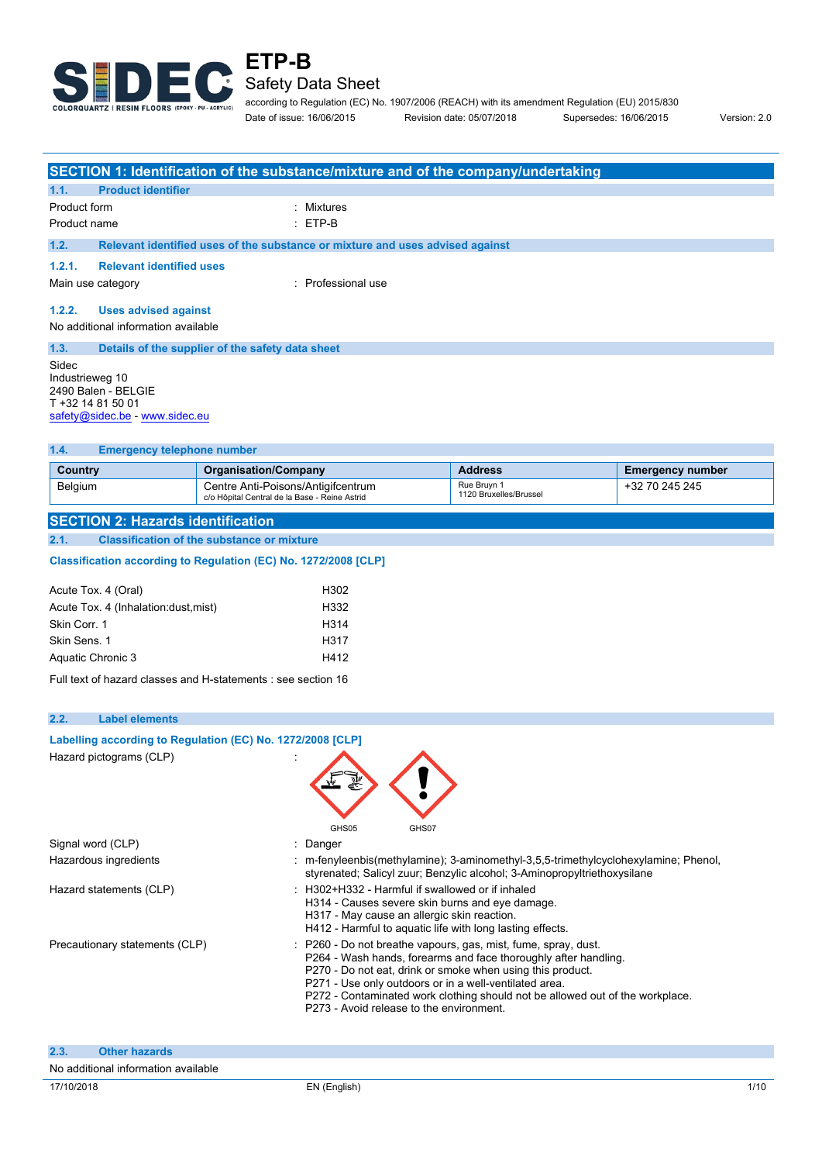

according to Regulation (EC) No. 1907/2006 (REACH) with its amendment Regulation (EU) 2015/830 Date of issue: 16/06/2015 Revision date: 05/07/2018 Supersedes: 16/06/2015 Version: 2.0

| <b>SECTION 1: Identification of the substance/mixture and of the company/undertaking</b>               |                                                                               |                                                                                     |                                       |                         |  |
|--------------------------------------------------------------------------------------------------------|-------------------------------------------------------------------------------|-------------------------------------------------------------------------------------|---------------------------------------|-------------------------|--|
| 1.1.                                                                                                   | <b>Product identifier</b>                                                     |                                                                                     |                                       |                         |  |
| Product form                                                                                           |                                                                               | Mixtures                                                                            |                                       |                         |  |
| Product name                                                                                           |                                                                               | ETP-B                                                                               |                                       |                         |  |
| 1.2.                                                                                                   | Relevant identified uses of the substance or mixture and uses advised against |                                                                                     |                                       |                         |  |
| 1.2.1.                                                                                                 | <b>Relevant identified uses</b>                                               |                                                                                     |                                       |                         |  |
| <b>Professional use</b><br>Main use category                                                           |                                                                               |                                                                                     |                                       |                         |  |
| 1.2.2.                                                                                                 | <b>Uses advised against</b>                                                   |                                                                                     |                                       |                         |  |
|                                                                                                        | No additional information available                                           |                                                                                     |                                       |                         |  |
| 1.3.                                                                                                   | Details of the supplier of the safety data sheet                              |                                                                                     |                                       |                         |  |
| Sidec<br>Industrieweg 10<br>2490 Balen - BELGIE<br>T +32 14 81 50 01<br>safety@sidec.be - www.sidec.eu |                                                                               |                                                                                     |                                       |                         |  |
| <b>Emergency telephone number</b><br>1.4.                                                              |                                                                               |                                                                                     |                                       |                         |  |
| Country                                                                                                |                                                                               | <b>Organisation/Company</b>                                                         | <b>Address</b>                        | <b>Emergency number</b> |  |
| Belgium                                                                                                |                                                                               | Centre Anti-Poisons/Antigifcentrum<br>c/o Hôpital Central de la Base - Reine Astrid | Rue Bruyn 1<br>1120 Bruxelles/Brussel | +32 70 245 245          |  |

**SECTION 2: Hazards identification 2.1. Classification of the substance or mixture**

## Classification according to Regulation (EC) No. 1272/2008 [CLP]

| Acute Tox. 4 (Oral)<br>H302                   |  |
|-----------------------------------------------|--|
| H332<br>Acute Tox. 4 (Inhalation: dust, mist) |  |
| Skin Corr. 1<br>H314                          |  |
| Skin Sens, 1<br>H317                          |  |
| Aquatic Chronic 3<br>H412                     |  |

Full text of hazard classes and H-statements : see section 16

**Labelling according to Regulation** (EC) No. 1272/2008 [CLP]

#### **2.2. Label elements**

| Hazard pictograms (CLP)             | GHS <sub>05</sub><br>GHS07                                                                                                                                                                                                                                                                                                                                                             |
|-------------------------------------|----------------------------------------------------------------------------------------------------------------------------------------------------------------------------------------------------------------------------------------------------------------------------------------------------------------------------------------------------------------------------------------|
| Signal word (CLP)                   | : Danger                                                                                                                                                                                                                                                                                                                                                                               |
| Hazardous ingredients               | : m-fenyleenbis(methylamine); 3-aminomethyl-3,5,5-trimethylcyclohexylamine; Phenol,<br>styrenated; Salicyl zuur; Benzylic alcohol; 3-Aminopropyltriethoxysilane                                                                                                                                                                                                                        |
| Hazard statements (CLP)             | : H302+H332 - Harmful if swallowed or if inhaled<br>H314 - Causes severe skin burns and eye damage.<br>H317 - May cause an allergic skin reaction.<br>H412 - Harmful to aquatic life with long lasting effects.                                                                                                                                                                        |
| Precautionary statements (CLP)      | : P260 - Do not breathe vapours, gas, mist, fume, spray, dust.<br>P264 - Wash hands, forearms and face thoroughly after handling.<br>P270 - Do not eat, drink or smoke when using this product.<br>P271 - Use only outdoors or in a well-ventilated area.<br>P272 - Contaminated work clothing should not be allowed out of the workplace.<br>P273 - Avoid release to the environment. |
| 2.3.<br><b>Other hazards</b>        |                                                                                                                                                                                                                                                                                                                                                                                        |
| No additional information available |                                                                                                                                                                                                                                                                                                                                                                                        |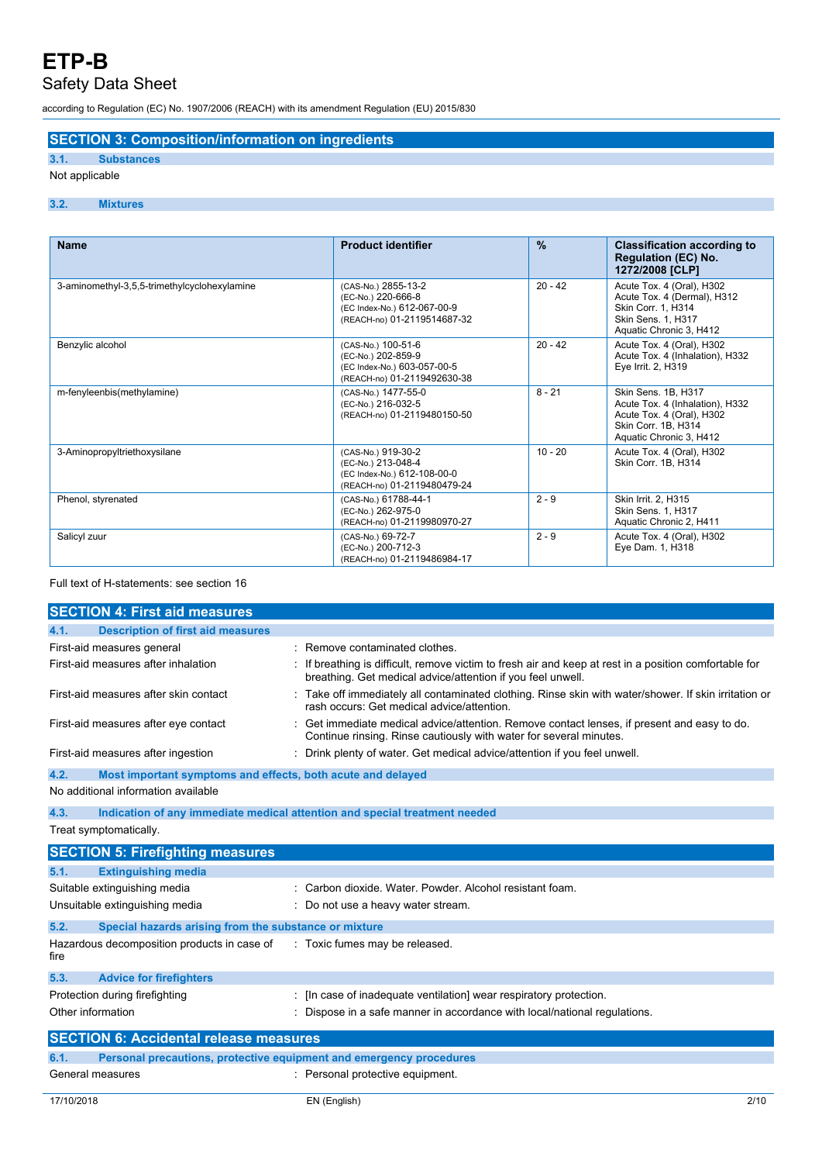# Safety Data Sheet

according to Regulation (EC) No. 1907/2006 (REACH) with its amendment Regulation (EU) 2015/830

## **SECTION 3: Composition/information on ingredients**

# **3.1. Substances**

# Not applicable

## **3.2. Mixtures**

| <b>Name</b>                                  | <b>Product identifier</b>                                                                               | $\frac{9}{6}$ | <b>Classification according to</b><br><b>Regulation (EC) No.</b><br>1272/2008 [CLP]                                                   |
|----------------------------------------------|---------------------------------------------------------------------------------------------------------|---------------|---------------------------------------------------------------------------------------------------------------------------------------|
| 3-aminomethyl-3,5,5-trimethylcyclohexylamine | (CAS-No.) 2855-13-2<br>(EC-No.) 220-666-8<br>(EC Index-No.) 612-067-00-9<br>(REACH-no) 01-2119514687-32 | $20 - 42$     | Acute Tox. 4 (Oral), H302<br>Acute Tox. 4 (Dermal), H312<br>Skin Corr. 1, H314<br>Skin Sens. 1, H317<br>Aquatic Chronic 3, H412       |
| Benzylic alcohol                             | (CAS-No.) 100-51-6<br>(EC-No.) 202-859-9<br>(EC Index-No.) 603-057-00-5<br>(REACH-no) 01-2119492630-38  | $20 - 42$     | Acute Tox. 4 (Oral), H302<br>Acute Tox. 4 (Inhalation), H332<br>Eye Irrit. 2, H319                                                    |
| m-fenyleenbis(methylamine)                   | (CAS-No.) 1477-55-0<br>(EC-No.) 216-032-5<br>(REACH-no) 01-2119480150-50                                | $8 - 21$      | Skin Sens. 1B, H317<br>Acute Tox. 4 (Inhalation), H332<br>Acute Tox. 4 (Oral), H302<br>Skin Corr. 1B, H314<br>Aquatic Chronic 3, H412 |
| 3-Aminopropyltriethoxysilane                 | (CAS-No.) 919-30-2<br>(EC-No.) 213-048-4<br>(EC Index-No.) 612-108-00-0<br>(REACH-no) 01-2119480479-24  | $10 - 20$     | Acute Tox. 4 (Oral), H302<br>Skin Corr. 1B, H314                                                                                      |
| Phenol, styrenated                           | (CAS-No.) 61788-44-1<br>(EC-No.) 262-975-0<br>(REACH-no) 01-2119980970-27                               | $2 - 9$       | Skin Irrit. 2, H315<br>Skin Sens. 1, H317<br>Aquatic Chronic 2, H411                                                                  |
| Salicyl zuur                                 | (CAS-No.) 69-72-7<br>(EC-No.) 200-712-3<br>(REACH-no) 01-2119486984-17                                  | $2 - 9$       | Acute Tox. 4 (Oral), H302<br>Eye Dam. 1, H318                                                                                         |

## Full text of H-statements: see section 16

|                                | <b>SECTION 4: First aid measures</b>                        |                                                                                                                                                                     |
|--------------------------------|-------------------------------------------------------------|---------------------------------------------------------------------------------------------------------------------------------------------------------------------|
| 4.1.                           | <b>Description of first aid measures</b>                    |                                                                                                                                                                     |
| First-aid measures general     |                                                             | Remove contaminated clothes.                                                                                                                                        |
|                                | First-aid measures after inhalation                         | If breathing is difficult, remove victim to fresh air and keep at rest in a position comfortable for<br>breathing. Get medical advice/attention if you feel unwell. |
|                                | First-aid measures after skin contact                       | Take off immediately all contaminated clothing. Rinse skin with water/shower. If skin irritation or<br>rash occurs: Get medical advice/attention.                   |
|                                | First-aid measures after eye contact                        | Get immediate medical advice/attention. Remove contact lenses, if present and easy to do.<br>Continue rinsing. Rinse cautiously with water for several minutes.     |
|                                | First-aid measures after ingestion                          | Drink plenty of water. Get medical advice/attention if you feel unwell.                                                                                             |
| 4.2.                           | Most important symptoms and effects, both acute and delayed |                                                                                                                                                                     |
|                                | No additional information available                         |                                                                                                                                                                     |
| 4.3.                           |                                                             | Indication of any immediate medical attention and special treatment needed                                                                                          |
| Treat symptomatically.         |                                                             |                                                                                                                                                                     |
|                                | <b>SECTION 5: Firefighting measures</b>                     |                                                                                                                                                                     |
| 5.1.                           | <b>Extinguishing media</b>                                  |                                                                                                                                                                     |
| Suitable extinguishing media   |                                                             | Carbon dioxide, Water, Powder, Alcohol resistant foam.                                                                                                              |
|                                | Unsuitable extinguishing media                              | Do not use a heavy water stream.                                                                                                                                    |
| 5.2.                           | Special hazards arising from the substance or mixture       |                                                                                                                                                                     |
| fire                           | Hazardous decomposition products in case of                 | : Toxic fumes may be released.                                                                                                                                      |
| 5.3.                           | <b>Advice for firefighters</b>                              |                                                                                                                                                                     |
| Protection during firefighting |                                                             | [In case of inadequate ventilation] wear respiratory protection.                                                                                                    |
| Other information              |                                                             | Dispose in a safe manner in accordance with local/national regulations.                                                                                             |
|                                | <b>SECTION 6: Accidental release measures</b>               |                                                                                                                                                                     |
| 6.1.                           |                                                             | Personal precautions, protective equipment and emergency procedures                                                                                                 |
| General measures               |                                                             | : Personal protective equipment.                                                                                                                                    |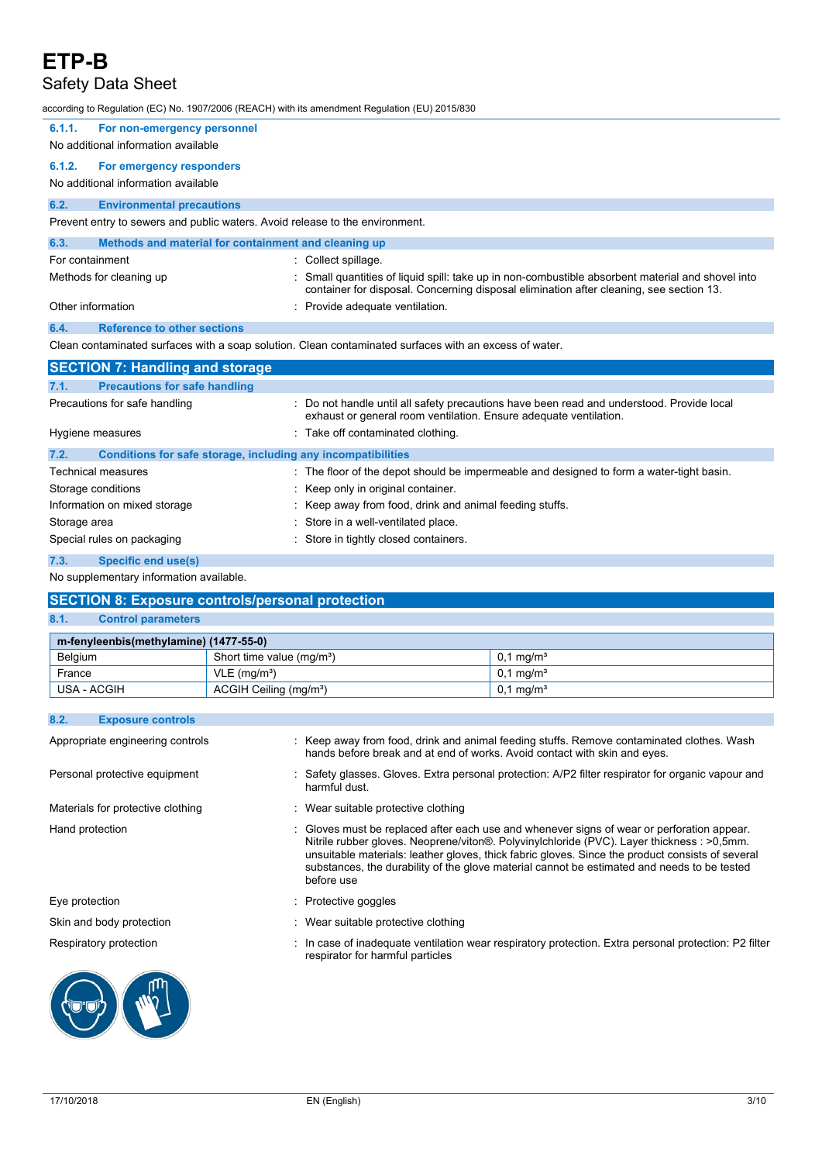## Safety Data Sheet

according to Regulation (EC) No. 1907/2006 (REACH) with its amendment Regulation (EU) 2015/830

| 6.1.1.<br>For non-emergency personnel<br>No additional information available |                                                                                                                                                                                            |  |  |  |
|------------------------------------------------------------------------------|--------------------------------------------------------------------------------------------------------------------------------------------------------------------------------------------|--|--|--|
| 6.1.2.<br>For emergency responders<br>No additional information available    |                                                                                                                                                                                            |  |  |  |
| 6.2.<br><b>Environmental precautions</b>                                     |                                                                                                                                                                                            |  |  |  |
| Prevent entry to sewers and public waters. Avoid release to the environment. |                                                                                                                                                                                            |  |  |  |
| 6.3.<br>Methods and material for containment and cleaning up                 |                                                                                                                                                                                            |  |  |  |
| For containment                                                              | : Collect spillage.                                                                                                                                                                        |  |  |  |
| Methods for cleaning up                                                      | Small quantities of liquid spill: take up in non-combustible absorbent material and shovel into<br>container for disposal. Concerning disposal elimination after cleaning, see section 13. |  |  |  |
| Other information                                                            | Provide adequate ventilation.                                                                                                                                                              |  |  |  |
| <b>Reference to other sections</b><br>6.4.                                   |                                                                                                                                                                                            |  |  |  |
|                                                                              | Clean contaminated surfaces with a soap solution. Clean contaminated surfaces with an excess of water.                                                                                     |  |  |  |
| <b>SECTION 7: Handling and storage</b>                                       |                                                                                                                                                                                            |  |  |  |
| <b>Precautions for safe handling</b><br>7.1.                                 |                                                                                                                                                                                            |  |  |  |
| Precautions for safe handling                                                | Do not handle until all safety precautions have been read and understood. Provide local<br>exhaust or general room ventilation. Ensure adequate ventilation.                               |  |  |  |
| Hygiene measures                                                             | : Take off contaminated clothing.                                                                                                                                                          |  |  |  |
| Conditions for safe storage, including any incompatibilities<br>7.2.         |                                                                                                                                                                                            |  |  |  |
| <b>Technical measures</b>                                                    | : The floor of the depot should be impermeable and designed to form a water-tight basin.                                                                                                   |  |  |  |
| Storage conditions                                                           | Keep only in original container.                                                                                                                                                           |  |  |  |
| Information on mixed storage                                                 | Keep away from food, drink and animal feeding stuffs.                                                                                                                                      |  |  |  |
| Storage area                                                                 | Store in a well-ventilated place.                                                                                                                                                          |  |  |  |
| Special rules on packaging<br>Store in tightly closed containers.            |                                                                                                                                                                                            |  |  |  |
| <b>Specific end use(s)</b><br>7.3.                                           |                                                                                                                                                                                            |  |  |  |
| No supplementary information available.                                      |                                                                                                                                                                                            |  |  |  |

## **SECTION 8: Exposure controls/personal protection**

## **8.1. Control parameters**

| m-fenyleenbis(methylamine) (1477-55-0) |                                       |                         |  |  |
|----------------------------------------|---------------------------------------|-------------------------|--|--|
| Belgium                                | Short time value (mg/m <sup>3</sup> ) | $0.1 \,\mathrm{mq/m^3}$ |  |  |
| France                                 | $VLE$ (mg/m <sup>3</sup> )            | $0.1 \,\mathrm{mq/m^3}$ |  |  |
| USA - ACGIH                            | ACGIH Ceiling (mg/m <sup>3</sup> )    | $0.1 \,\mathrm{mq/m^3}$ |  |  |

#### **8.2. Exposure controls**

| Appropriate engineering controls  | : Keep away from food, drink and animal feeding stuffs. Remove contaminated clothes. Wash<br>hands before break and at end of works. Avoid contact with skin and eyes.                                                                                                                                                                                                                                  |
|-----------------------------------|---------------------------------------------------------------------------------------------------------------------------------------------------------------------------------------------------------------------------------------------------------------------------------------------------------------------------------------------------------------------------------------------------------|
| Personal protective equipment     | Safety glasses. Gloves. Extra personal protection: A/P2 filter respirator for organic vapour and<br>harmful dust.                                                                                                                                                                                                                                                                                       |
| Materials for protective clothing | : Wear suitable protective clothing                                                                                                                                                                                                                                                                                                                                                                     |
| Hand protection                   | Gloves must be replaced after each use and whenever signs of wear or perforation appear.<br>Nitrile rubber gloves. Neoprene/viton®. Polyvinylchloride (PVC). Layer thickness : >0,5mm.<br>unsuitable materials: leather gloves, thick fabric gloves. Since the product consists of several<br>substances, the durability of the glove material cannot be estimated and needs to be tested<br>before use |
| Eye protection                    | : Protective goggles                                                                                                                                                                                                                                                                                                                                                                                    |
| Skin and body protection          | : Wear suitable protective clothing                                                                                                                                                                                                                                                                                                                                                                     |
| Respiratory protection            | In case of inadequate ventilation wear respiratory protection. Extra personal protection: P2 filter<br>respirator for harmful particles                                                                                                                                                                                                                                                                 |
|                                   |                                                                                                                                                                                                                                                                                                                                                                                                         |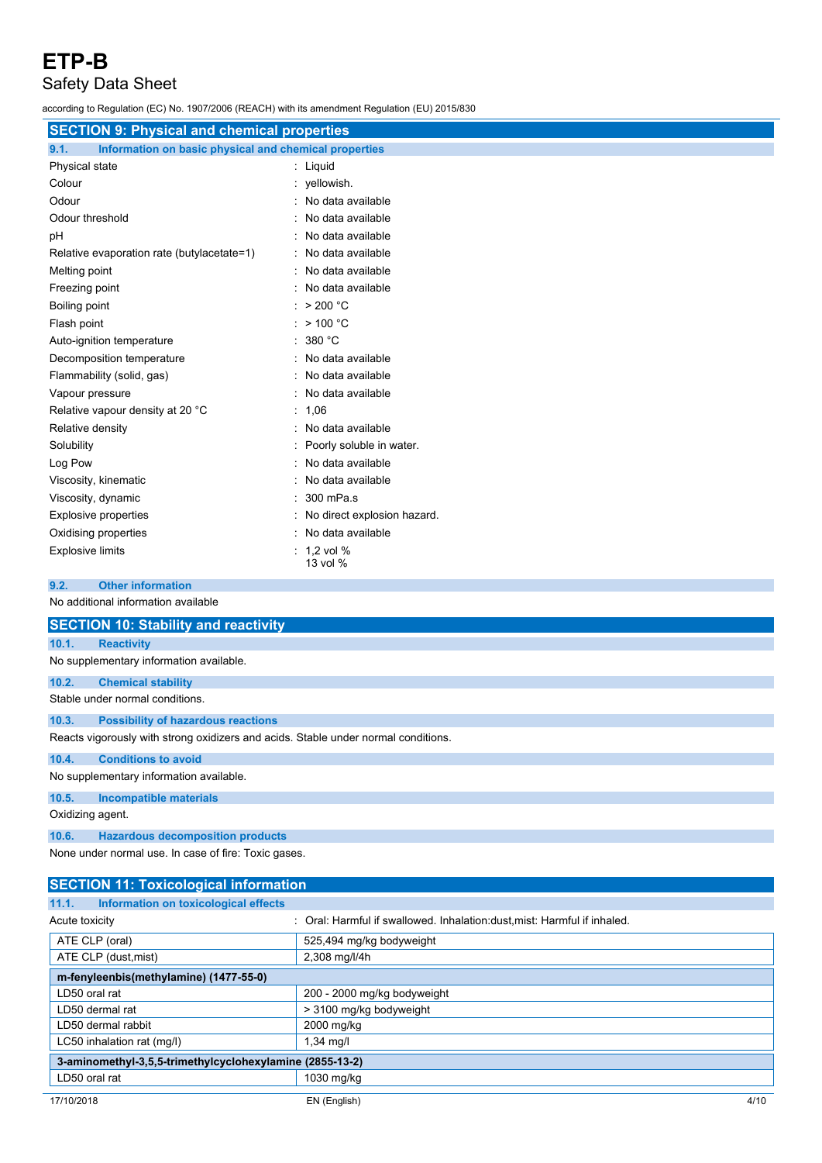# Safety Data Sheet

according to Regulation (EC) No. 1907/2006 (REACH) with its amendment Regulation (EU) 2015/830

| <b>SECTION 9: Physical and chemical properties</b>            |                               |  |
|---------------------------------------------------------------|-------------------------------|--|
| 9.1.<br>Information on basic physical and chemical properties |                               |  |
| Physical state                                                | : Liquid                      |  |
| Colour                                                        | : yellowish.                  |  |
| Odour                                                         | : No data available           |  |
| Odour threshold                                               | : No data available           |  |
| рH                                                            | : No data available           |  |
| Relative evaporation rate (butylacetate=1)                    | : No data available           |  |
| Melting point                                                 | : No data available           |  |
| Freezing point                                                | : No data available           |  |
| Boiling point                                                 | : $>200 °C$                   |  |
| Flash point                                                   | : $> 100 °C$                  |  |
| Auto-ignition temperature                                     | : 380 °C                      |  |
| Decomposition temperature                                     | : No data available           |  |
| Flammability (solid, gas)                                     | : No data available           |  |
| Vapour pressure                                               | : No data available           |  |
| Relative vapour density at 20 °C                              | : 1.06                        |  |
| Relative density                                              | : No data available           |  |
| Solubility                                                    | : Poorly soluble in water.    |  |
| Log Pow                                                       | : No data available           |  |
| Viscosity, kinematic                                          | : No data available           |  |
| Viscosity, dynamic                                            | $: 300$ mPa.s                 |  |
| <b>Explosive properties</b>                                   | : No direct explosion hazard. |  |
| Oxidising properties                                          | : No data available           |  |
| <b>Explosive limits</b>                                       | $: 1.2$ vol %<br>13 vol %     |  |
|                                                               |                               |  |

**9.2. Other information**

|                                         | No additional information available                                                |  |  |  |
|-----------------------------------------|------------------------------------------------------------------------------------|--|--|--|
|                                         | <b>SECTION 10: Stability and reactivity</b>                                        |  |  |  |
| 10.1.                                   | <b>Reactivity</b>                                                                  |  |  |  |
| No supplementary information available. |                                                                                    |  |  |  |
| 10.2.                                   | <b>Chemical stability</b>                                                          |  |  |  |
|                                         | Stable under normal conditions.                                                    |  |  |  |
| 10.3.                                   | <b>Possibility of hazardous reactions</b>                                          |  |  |  |
|                                         | Reacts vigorously with strong oxidizers and acids. Stable under normal conditions. |  |  |  |
| 10.4.                                   | <b>Conditions to avoid</b>                                                         |  |  |  |
| No supplementary information available. |                                                                                    |  |  |  |
| 10.5.                                   | <b>Incompatible materials</b>                                                      |  |  |  |
| Oxidizing agent.                        |                                                                                    |  |  |  |
| 10.6.                                   | <b>Hazardous decomposition products</b>                                            |  |  |  |
|                                         |                                                                                    |  |  |  |

None under normal use. In case of fire: Toxic gases.

| <b>SECTION 11: Toxicological information</b>             |                                                                           |  |
|----------------------------------------------------------|---------------------------------------------------------------------------|--|
| Information on toxicological effects<br>11.1.            |                                                                           |  |
| Acute toxicity                                           | : Oral: Harmful if swallowed. Inhalation: dust, mist: Harmful if inhaled. |  |
| ATE CLP (oral)                                           | 525,494 mg/kg bodyweight                                                  |  |
| ATE CLP (dust, mist)                                     | 2,308 mg/l/4h                                                             |  |
| m-fenyleenbis(methylamine) (1477-55-0)                   |                                                                           |  |
| LD50 oral rat                                            | 200 - 2000 mg/kg bodyweight                                               |  |
| LD50 dermal rat                                          | > 3100 mg/kg bodyweight                                                   |  |
| LD50 dermal rabbit                                       | 2000 mg/kg                                                                |  |
| LC50 inhalation rat (mg/l)                               | $1,34$ mg/l                                                               |  |
| 3-aminomethyl-3,5,5-trimethylcyclohexylamine (2855-13-2) |                                                                           |  |
| LD50 oral rat                                            | 1030 mg/kg                                                                |  |
| 17/10/2018                                               | EN (English)<br>4/10                                                      |  |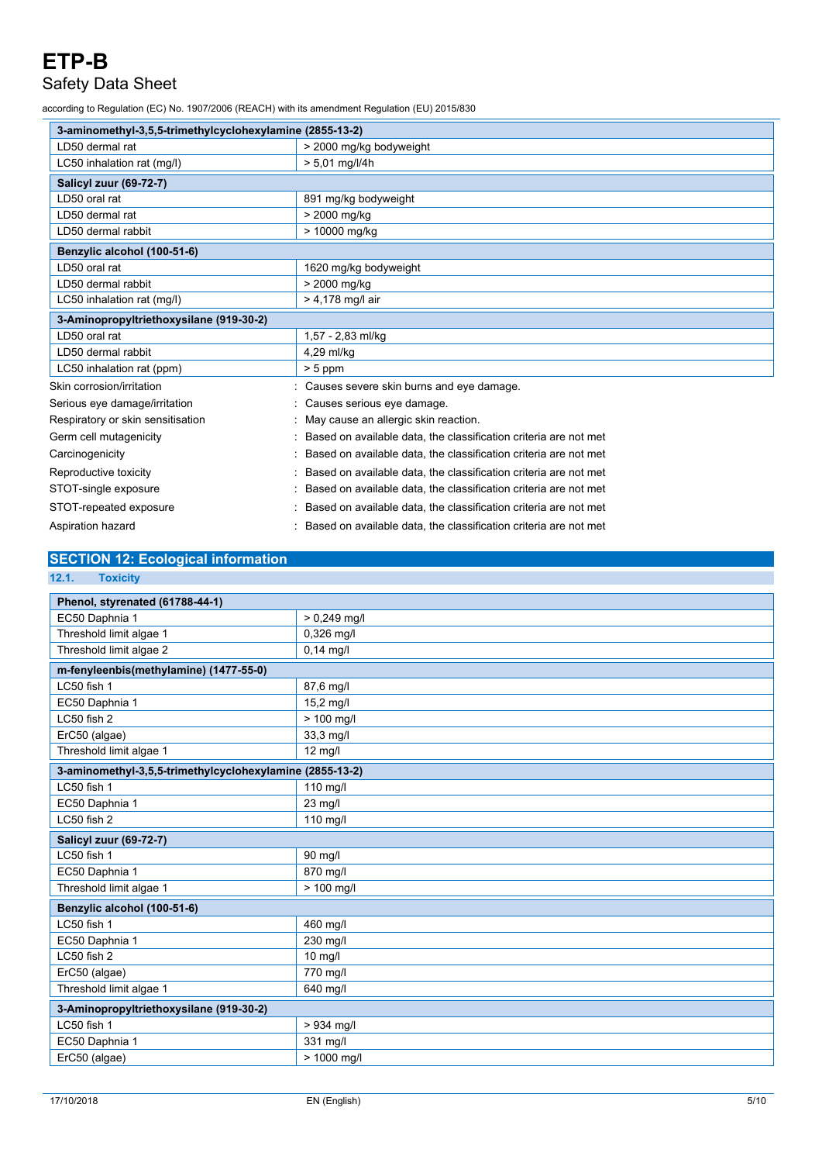# Safety Data Sheet

according to Regulation (EC) No. 1907/2006 (REACH) with its amendment Regulation (EU) 2015/830

| 3-aminomethyl-3.5.5-trimethylcyclohexylamine (2855-13-2) |                                                                  |  |
|----------------------------------------------------------|------------------------------------------------------------------|--|
| LD50 dermal rat                                          | > 2000 mg/kg bodyweight                                          |  |
| LC50 inhalation rat (mg/l)                               | $> 5,01$ mg/l/4h                                                 |  |
| <b>Salicyl zuur (69-72-7)</b>                            |                                                                  |  |
| LD50 oral rat                                            | 891 mg/kg bodyweight                                             |  |
| LD50 dermal rat                                          | > 2000 mg/kg                                                     |  |
| LD50 dermal rabbit                                       | > 10000 mg/kg                                                    |  |
| Benzylic alcohol (100-51-6)                              |                                                                  |  |
| LD50 oral rat                                            | 1620 mg/kg bodyweight                                            |  |
| LD50 dermal rabbit                                       | > 2000 mg/kg                                                     |  |
| LC50 inhalation rat (mg/l)                               | $> 4,178$ mg/l air                                               |  |
| 3-Aminopropyltriethoxysilane (919-30-2)                  |                                                                  |  |
| LD50 oral rat                                            | 1,57 - 2,83 ml/kg                                                |  |
| LD50 dermal rabbit                                       | 4,29 ml/kg                                                       |  |
| LC50 inhalation rat (ppm)                                | $> 5$ ppm                                                        |  |
| Skin corrosion/irritation                                | Causes severe skin burns and eye damage.                         |  |
| Serious eye damage/irritation                            | Causes serious eye damage.                                       |  |
| Respiratory or skin sensitisation                        | May cause an allergic skin reaction.                             |  |
| Germ cell mutagenicity                                   | Based on available data, the classification criteria are not met |  |
| Carcinogenicity                                          | Based on available data, the classification criteria are not met |  |
| Reproductive toxicity                                    | Based on available data, the classification criteria are not met |  |
| STOT-single exposure                                     | Based on available data, the classification criteria are not met |  |
| STOT-repeated exposure                                   | Based on available data, the classification criteria are not met |  |
| Aspiration hazard                                        | Based on available data, the classification criteria are not met |  |

## **SECTION 12: Ecological information**

**12.1. Toxicity**

| Phenol, styrenated (61788-44-1)                          |                |  |  |
|----------------------------------------------------------|----------------|--|--|
| EC50 Daphnia 1                                           | $> 0.249$ mg/l |  |  |
| Threshold limit algae 1                                  | 0,326 mg/l     |  |  |
| Threshold limit algae 2                                  | $0,14$ mg/l    |  |  |
| m-fenyleenbis(methylamine) (1477-55-0)                   |                |  |  |
| LC50 fish 1                                              | 87,6 mg/l      |  |  |
| EC50 Daphnia 1                                           | 15,2 mg/l      |  |  |
| LC50 fish 2                                              | $> 100$ mg/l   |  |  |
| ErC50 (algae)                                            | $33,3$ mg/l    |  |  |
| Threshold limit algae 1                                  | 12 mg/l        |  |  |
| 3-aminomethyl-3,5,5-trimethylcyclohexylamine (2855-13-2) |                |  |  |
| LC50 fish 1                                              | 110 mg/l       |  |  |
| EC50 Daphnia 1                                           | 23 mg/l        |  |  |
| LC50 fish 2                                              | 110 mg/l       |  |  |
| Salicyl zuur (69-72-7)                                   |                |  |  |
| LC50 fish 1                                              | 90 mg/l        |  |  |
| EC50 Daphnia 1                                           | 870 mg/l       |  |  |
| Threshold limit algae 1                                  | > 100 mg/l     |  |  |
| Benzylic alcohol (100-51-6)                              |                |  |  |
| LC50 fish 1                                              | 460 mg/l       |  |  |
| EC50 Daphnia 1                                           | 230 mg/l       |  |  |
| LC50 fish 2                                              | 10 mg/l        |  |  |
| ErC50 (algae)                                            | 770 mg/l       |  |  |
| Threshold limit algae 1                                  | 640 mg/l       |  |  |
| 3-Aminopropyltriethoxysilane (919-30-2)                  |                |  |  |
| LC50 fish 1                                              | > 934 mg/l     |  |  |
| EC50 Daphnia 1                                           | 331 mg/l       |  |  |
| ErC50 (algae)                                            | > 1000 mg/l    |  |  |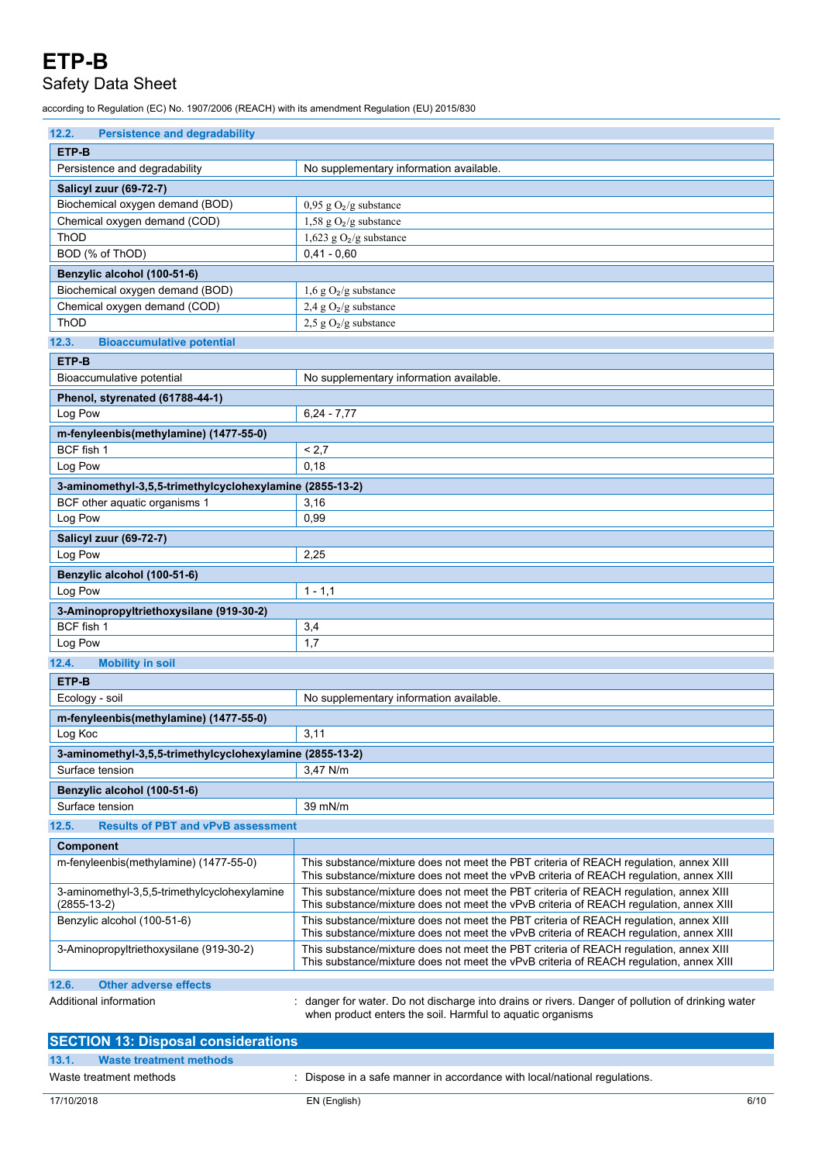## Safety Data Sheet

according to Regulation (EC) No. 1907/2006 (REACH) with its amendment Regulation (EU) 2015/830

| <b>Persistence and degradability</b><br>12.2.            |                                                                                                                                                                                 |  |  |
|----------------------------------------------------------|---------------------------------------------------------------------------------------------------------------------------------------------------------------------------------|--|--|
| ETP-B                                                    |                                                                                                                                                                                 |  |  |
| Persistence and degradability                            | No supplementary information available.                                                                                                                                         |  |  |
| Salicyl zuur (69-72-7)                                   |                                                                                                                                                                                 |  |  |
| Biochemical oxygen demand (BOD)                          | $0,95$ g $O2/g$ substance                                                                                                                                                       |  |  |
| Chemical oxygen demand (COD)                             | 1,58 g $O_2/g$ substance                                                                                                                                                        |  |  |
| <b>ThOD</b>                                              | 1,623 g $O_2/g$ substance                                                                                                                                                       |  |  |
| BOD (% of ThOD)                                          | $0.41 - 0.60$                                                                                                                                                                   |  |  |
| Benzylic alcohol (100-51-6)                              |                                                                                                                                                                                 |  |  |
| Biochemical oxygen demand (BOD)                          | $1,6 \text{ g O}_2/\text{g}$ substance                                                                                                                                          |  |  |
| Chemical oxygen demand (COD)                             | 2,4 g $O_2/g$ substance                                                                                                                                                         |  |  |
| <b>ThOD</b>                                              | $2,5$ g O <sub>2</sub> /g substance                                                                                                                                             |  |  |
| 12.3.<br><b>Bioaccumulative potential</b>                |                                                                                                                                                                                 |  |  |
| ETP-B                                                    |                                                                                                                                                                                 |  |  |
| Bioaccumulative potential                                | No supplementary information available.                                                                                                                                         |  |  |
| Phenol, styrenated (61788-44-1)                          |                                                                                                                                                                                 |  |  |
| Log Pow                                                  | $6,24 - 7,77$                                                                                                                                                                   |  |  |
| m-fenyleenbis(methylamine) (1477-55-0)                   |                                                                                                                                                                                 |  |  |
| BCF fish 1                                               | < 2.7                                                                                                                                                                           |  |  |
| Log Pow                                                  | 0,18                                                                                                                                                                            |  |  |
| 3-aminomethyl-3,5,5-trimethylcyclohexylamine (2855-13-2) |                                                                                                                                                                                 |  |  |
| BCF other aquatic organisms 1                            | 3,16                                                                                                                                                                            |  |  |
| Log Pow                                                  | 0,99                                                                                                                                                                            |  |  |
| Salicyl zuur (69-72-7)                                   |                                                                                                                                                                                 |  |  |
| Log Pow                                                  | 2,25                                                                                                                                                                            |  |  |
|                                                          |                                                                                                                                                                                 |  |  |
| Benzylic alcohol (100-51-6)<br>Log Pow                   | $1 - 1,1$                                                                                                                                                                       |  |  |
|                                                          |                                                                                                                                                                                 |  |  |
| 3-Aminopropyltriethoxysilane (919-30-2)                  |                                                                                                                                                                                 |  |  |
| BCF fish 1                                               | 3,4<br>1,7                                                                                                                                                                      |  |  |
| Log Pow                                                  |                                                                                                                                                                                 |  |  |
| 12.4.<br><b>Mobility in soil</b>                         |                                                                                                                                                                                 |  |  |
| ETP-B                                                    |                                                                                                                                                                                 |  |  |
| Ecology - soil                                           | No supplementary information available.                                                                                                                                         |  |  |
| m-fenyleenbis(methylamine) (1477-55-0)                   |                                                                                                                                                                                 |  |  |
| Log Koc                                                  | 3,11                                                                                                                                                                            |  |  |
| 3-aminomethyl-3,5,5-trimethylcyclohexylamine (2855-13-2) |                                                                                                                                                                                 |  |  |
| Surface tension                                          | 3,47 N/m                                                                                                                                                                        |  |  |
| Benzylic alcohol (100-51-6)                              |                                                                                                                                                                                 |  |  |
| Surface tension                                          | 39 mN/m                                                                                                                                                                         |  |  |
| 12.5.<br><b>Results of PBT and vPvB assessment</b>       |                                                                                                                                                                                 |  |  |
| Component                                                |                                                                                                                                                                                 |  |  |
| m-fenyleenbis(methylamine) (1477-55-0)                   | This substance/mixture does not meet the PBT criteria of REACH requlation, annex XIII                                                                                           |  |  |
| 3-aminomethyl-3,5,5-trimethylcyclohexylamine             | This substance/mixture does not meet the vPvB criteria of REACH regulation, annex XIII<br>This substance/mixture does not meet the PBT criteria of REACH regulation, annex XIII |  |  |
| $(2855-13-2)$                                            | This substance/mixture does not meet the vPvB criteria of REACH regulation, annex XIII                                                                                          |  |  |
| Benzylic alcohol (100-51-6)                              | This substance/mixture does not meet the PBT criteria of REACH requlation, annex XIII<br>This substance/mixture does not meet the vPvB criteria of REACH regulation, annex XIII |  |  |
| 3-Aminopropyltriethoxysilane (919-30-2)                  | This substance/mixture does not meet the PBT criteria of REACH regulation, annex XIII<br>This substance/mixture does not meet the vPvB criteria of REACH regulation, annex XIII |  |  |
| 12.6.<br><b>Other adverse effects</b>                    |                                                                                                                                                                                 |  |  |
| Additional information                                   | danger for water. Do not discharge into drains or rivers. Danger of pollution of drinking water<br>when product enters the soil. Harmful to aquatic organisms                   |  |  |

| <b>SECTION 13: Disposal considerations</b> |                                                                           |      |
|--------------------------------------------|---------------------------------------------------------------------------|------|
| 13.1.<br>Waste treatment methods           |                                                                           |      |
| Waste treatment methods                    | : Dispose in a safe manner in accordance with local/national regulations. |      |
| 17/10/2018                                 | EN (English)                                                              | 6/10 |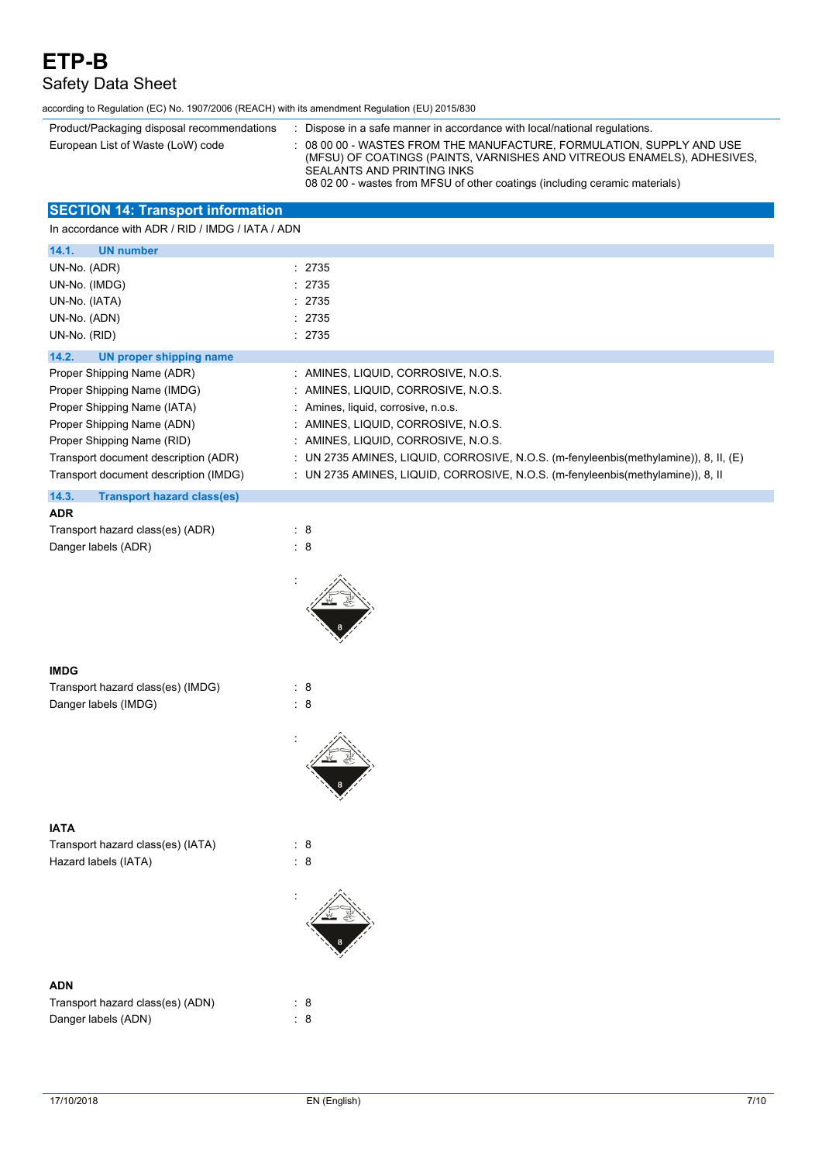# Safety Data Sheet

according to Regulation (EC) No. 1907/2006 (REACH) with its amendment Regulation (EU) 2015/830

| Product/Packaging disposal recommendations | Dispose in a safe manner in accordance with local/national regulations.                                                                                                                                                                                           |
|--------------------------------------------|-------------------------------------------------------------------------------------------------------------------------------------------------------------------------------------------------------------------------------------------------------------------|
| European List of Waste (LoW) code          | $\pm$ 08 00 00 - WASTES FROM THE MANUFACTURE. FORMULATION. SUPPLY AND USE<br>(MFSU) OF COATINGS (PAINTS, VARNISHES AND VITREOUS ENAMELS), ADHESIVES,<br>SEALANTS AND PRINTING INKS<br>08 02 00 - wastes from MFSU of other coatings (including ceramic materials) |

## **SECTION 14: Transport information**

In accordance with ADR / RID / IMDG / IATA / ADN

| 14.1.<br><b>UN number</b>                  |                                                                                      |
|--------------------------------------------|--------------------------------------------------------------------------------------|
| UN-No. (ADR)                               | : 2735                                                                               |
| UN-No. (IMDG)                              | : 2735                                                                               |
| UN-No. (IATA)                              | : 2735                                                                               |
| UN-No. (ADN)                               | : 2735                                                                               |
| UN-No. (RID)                               | : 2735                                                                               |
| 14.2.<br>UN proper shipping name           |                                                                                      |
| Proper Shipping Name (ADR)                 | : AMINES, LIQUID, CORROSIVE, N.O.S.                                                  |
| Proper Shipping Name (IMDG)                | : AMINES, LIQUID, CORROSIVE, N.O.S.                                                  |
| Proper Shipping Name (IATA)                | : Amines, liquid, corrosive, n.o.s.                                                  |
| Proper Shipping Name (ADN)                 | : AMINES, LIQUID, CORROSIVE, N.O.S.                                                  |
| Proper Shipping Name (RID)                 | : AMINES, LIQUID, CORROSIVE, N.O.S.                                                  |
| Transport document description (ADR)       | : UN 2735 AMINES, LIQUID, CORROSIVE, N.O.S. (m-fenyleenbis(methylamine)), 8, II, (E) |
| Transport document description (IMDG)      | : UN 2735 AMINES, LIQUID, CORROSIVE, N.O.S. (m-fenyleenbis(methylamine)), 8, II      |
| 14.3.<br><b>Transport hazard class(es)</b> |                                                                                      |
| <b>ADR</b>                                 |                                                                                      |
| Transport hazard class(es) (ADR)           | $\therefore$ 8                                                                       |
| Danger labels (ADR)                        | : 8                                                                                  |



| Transport hazard class(es) (IMDG) | : 8 |
|-----------------------------------|-----|
| Danger labels (IMDG)              | - 8 |



Transport hazard class(es) (IATA) : 8 Hazard labels (IATA) : 8

# :

:



### **ADN**

| Transport hazard class(es) (ADN) | : 8 |
|----------------------------------|-----|
| Danger labels (ADN)              |     |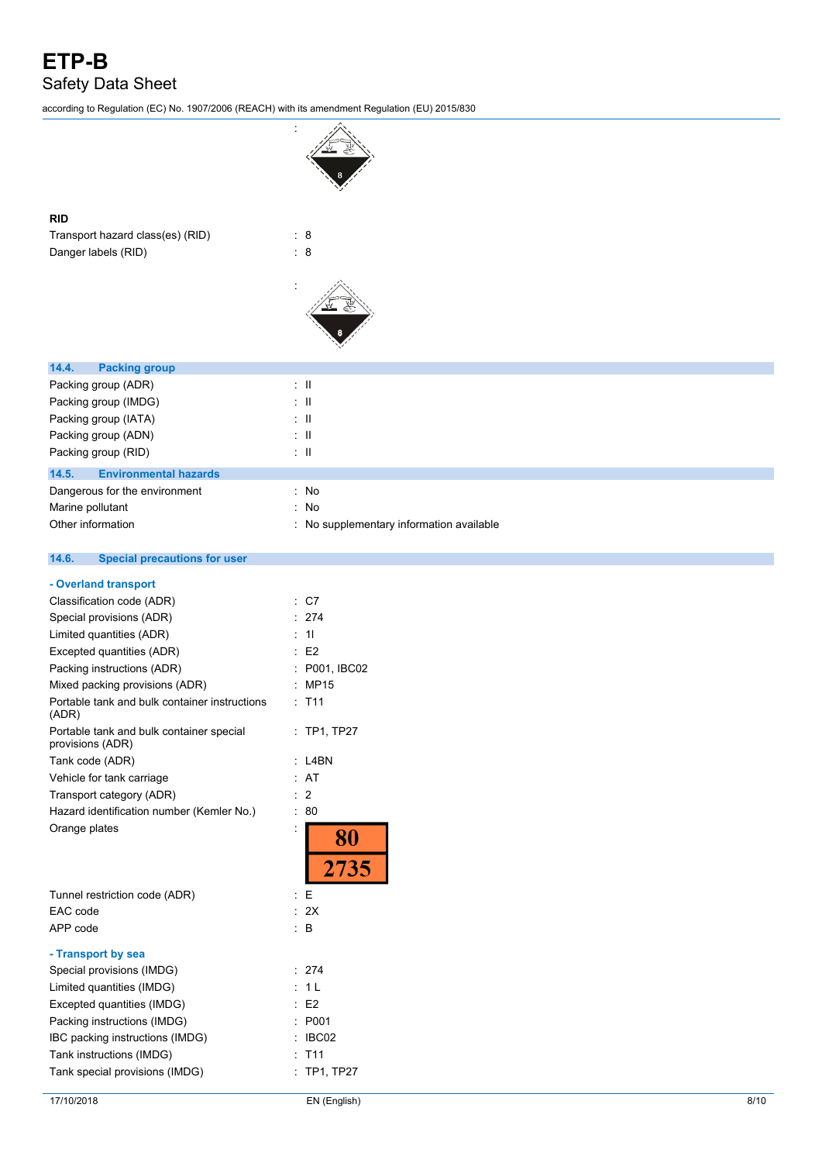# **ETP-B** Safety Data Sheet

according to Regulation (EC) No. 1907/2006 (REACH) with its amendment Regulation (EU) 2015/830

| <b>RID</b>                                             |                                          |
|--------------------------------------------------------|------------------------------------------|
| Transport hazard class(es) (RID)                       | : 8                                      |
| Danger labels (RID)                                    | $\therefore$ 8                           |
|                                                        |                                          |
|                                                        |                                          |
| 14.4.<br><b>Packing group</b>                          |                                          |
| Packing group (ADR)                                    | $\lesssim 11$                            |
| Packing group (IMDG)                                   | $\pm$ 11                                 |
| Packing group (IATA)                                   | $\pm$ 11                                 |
| Packing group (ADN)                                    | $\pm$ 11                                 |
| Packing group (RID)                                    | $\pm$ 11                                 |
| 14.5.<br><b>Environmental hazards</b>                  |                                          |
| Dangerous for the environment                          | : No                                     |
| Marine pollutant                                       | : No                                     |
| Other information                                      | : No supplementary information available |
|                                                        |                                          |
| 14.6.<br><b>Special precautions for user</b>           |                                          |
| - Overland transport                                   |                                          |
| Classification code (ADR)                              | : C7                                     |
| Special provisions (ADR)                               | : 274                                    |
| Limited quantities (ADR)                               | : 11                                     |
| Excepted quantities (ADR)                              | E <sub>2</sub>                           |
| Packing instructions (ADR)                             | P001, IBC02                              |
| Mixed packing provisions (ADR)                         | <b>MP15</b><br>÷                         |
| Portable tank and bulk container instructions<br>(ADR) | : T11                                    |
| Portable tank and bulk container special               | $\cdot$ TP1 TP27                         |

| 17/10/2018                                                   | EN (English)   | 8/10 |
|--------------------------------------------------------------|----------------|------|
| Tank special provisions (IMDG)                               | : TP1, TP27    |      |
| Tank instructions (IMDG)                                     | : T11          |      |
| IBC packing instructions (IMDG)                              | IBC02          |      |
| Packing instructions (IMDG)                                  | P001           |      |
| Excepted quantities (IMDG)                                   | E <sub>2</sub> |      |
| Limited quantities (IMDG)                                    | : 1L           |      |
| Special provisions (IMDG)                                    | : 274          |      |
| - Transport by sea                                           |                |      |
| APP code                                                     | $\therefore$ B |      |
| EAC code                                                     | : 2X           |      |
| Tunnel restriction code (ADR)                                | Е<br>÷         |      |
| Orange plates                                                | 80<br>2735     |      |
| Hazard identification number (Kemler No.)                    | : 80           |      |
| Transport category (ADR)                                     | : 2            |      |
| Vehicle for tank carriage                                    | : AT           |      |
| Tank code (ADR)                                              | $:$ L4BN       |      |
| Portable tank and bulk container special<br>provisions (ADR) | : TP1, TP27    |      |
| Portable tank and bulk container instructions<br>(ADR)       | : T11          |      |
| Mixed packing provisions (ADR)                               | : MP15         |      |
| Packing instructions (ADR)                                   | : P001, IBC02  |      |
| Excepted quantities (ADR)                                    | E <sub>2</sub> |      |
| Limited quantities (ADR)                                     | 11             |      |
| Special provisions (ADR)                                     | : 274          |      |
| Classification code (ADR)                                    | : C7           |      |
| - Ovenand transport                                          |                |      |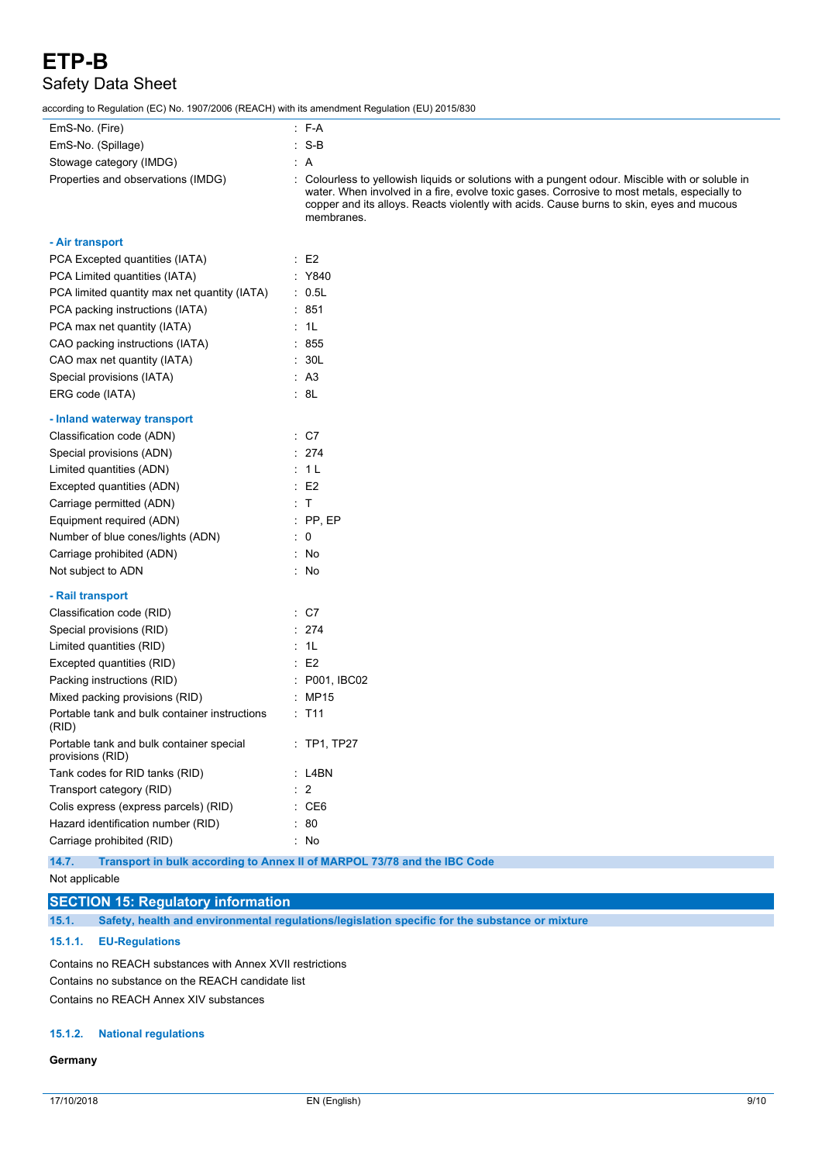# **ETP-B** Safety Data Sheet

according to Regulation (EC) No. 1907/2006 (REACH) with its amendment Regulation (EU) 2015/830

| EmS-No. (Fire)                                               | $: F-A$                                                                                                                                                                                                                                                                                                   |
|--------------------------------------------------------------|-----------------------------------------------------------------------------------------------------------------------------------------------------------------------------------------------------------------------------------------------------------------------------------------------------------|
| EmS-No. (Spillage)                                           | $: S-B$                                                                                                                                                                                                                                                                                                   |
| Stowage category (IMDG)                                      | ÷Α                                                                                                                                                                                                                                                                                                        |
| Properties and observations (IMDG)                           | : Colourless to yellowish liquids or solutions with a pungent odour. Miscible with or soluble in<br>water. When involved in a fire, evolve toxic gases. Corrosive to most metals, especially to<br>copper and its alloys. Reacts violently with acids. Cause burns to skin, eyes and mucous<br>membranes. |
| - Air transport                                              |                                                                                                                                                                                                                                                                                                           |
| PCA Excepted quantities (IATA)                               | $\therefore$ E2                                                                                                                                                                                                                                                                                           |
| PCA Limited quantities (IATA)                                | : Y840                                                                                                                                                                                                                                                                                                    |
| PCA limited quantity max net quantity (IATA)                 | $\therefore$ 0.5L                                                                                                                                                                                                                                                                                         |
| PCA packing instructions (IATA)                              | : 851                                                                                                                                                                                                                                                                                                     |
| PCA max net quantity (IATA)                                  | : 1L                                                                                                                                                                                                                                                                                                      |
| CAO packing instructions (IATA)                              | : 855                                                                                                                                                                                                                                                                                                     |
| CAO max net quantity (IATA)                                  | : 30L                                                                                                                                                                                                                                                                                                     |
| Special provisions (IATA)                                    | : A3                                                                                                                                                                                                                                                                                                      |
| ERG code (IATA)                                              | : 8L                                                                                                                                                                                                                                                                                                      |
| - Inland waterway transport                                  |                                                                                                                                                                                                                                                                                                           |
| Classification code (ADN)                                    | $\therefore$ C7                                                                                                                                                                                                                                                                                           |
| Special provisions (ADN)                                     | : 274                                                                                                                                                                                                                                                                                                     |
| Limited quantities (ADN)                                     | : 1 L                                                                                                                                                                                                                                                                                                     |
| Excepted quantities (ADN)                                    | $\therefore$ E2                                                                                                                                                                                                                                                                                           |
| Carriage permitted (ADN)                                     | $\pm$ T                                                                                                                                                                                                                                                                                                   |
| Equipment required (ADN)                                     | $:$ PP, EP                                                                                                                                                                                                                                                                                                |
| Number of blue cones/lights (ADN)                            | $\therefore$ 0                                                                                                                                                                                                                                                                                            |
| Carriage prohibited (ADN)                                    | : No                                                                                                                                                                                                                                                                                                      |
| Not subject to ADN                                           | : No                                                                                                                                                                                                                                                                                                      |
| - Rail transport                                             |                                                                                                                                                                                                                                                                                                           |
| Classification code (RID)                                    | $\therefore$ C7                                                                                                                                                                                                                                                                                           |
| Special provisions (RID)                                     | $\therefore$ 274                                                                                                                                                                                                                                                                                          |
| Limited quantities (RID)                                     | : 1L                                                                                                                                                                                                                                                                                                      |
| Excepted quantities (RID)                                    | $\therefore$ E2                                                                                                                                                                                                                                                                                           |
| Packing instructions (RID)                                   | : P001, IBC02                                                                                                                                                                                                                                                                                             |
| Mixed packing provisions (RID)                               | : MP15                                                                                                                                                                                                                                                                                                    |
| Portable tank and bulk container instructions<br>(RID)       | $:$ T11                                                                                                                                                                                                                                                                                                   |
| Portable tank and bulk container special<br>provisions (RID) | : TP1, TP27                                                                                                                                                                                                                                                                                               |
| Tank codes for RID tanks (RID)                               | : L4BN                                                                                                                                                                                                                                                                                                    |
| Transport category (RID)                                     | $\therefore$ 2                                                                                                                                                                                                                                                                                            |
| Colis express (express parcels) (RID)                        | : CE6                                                                                                                                                                                                                                                                                                     |
| Hazard identification number (RID)                           | : 80                                                                                                                                                                                                                                                                                                      |
| Carriage prohibited (RID)                                    | : No                                                                                                                                                                                                                                                                                                      |
| 14.7.                                                        | Transport in bulk according to Annex II of MARPOL 73/78 and the IBC Code                                                                                                                                                                                                                                  |

Not applicable

## **SECTION 15: Regulatory information**

**15.1. Safety, health and environmental regulations/legislation specific for the substance or mixture**

#### **15.1.1. EU-Regulations**

Contains no REACH substances with Annex XVII restrictions Contains no substance on the REACH candidate list Contains no REACH Annex XIV substances

#### **15.1.2. National regulations**

#### **Germany**